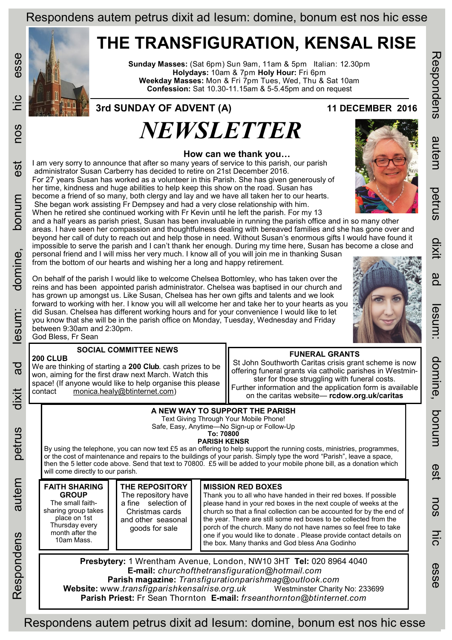## Respondens autem petrus dixit ad Iesum: domine, bonum est nos hic esse

## **THE TRANSFIGURATION, KENSAL RISE**

**Sunday Masses:** (Sat 6pm) Sun 9am, 11am & 5pm Italian: 12.30pm **Holydays:** 10am & 7pm **Holy Hour:** Fri 6pm **Weekday Masses:** Mon & Fri 7pm Tues, Wed, Thu & Sat 10am **Confession:** Sat 10.30-11.15am & 5-5.45pm and on request

## *NEWSLETTER* **3rd SUNDAY OF ADVENT (A) 11 DECEMBER 2016**

 **How can we thank you…** I am very sorry to announce that after so many years of service to this parish, our parish administrator Susan Carberry has decided to retire on 21st December 2016. For 27 years Susan has worked as a volunteer in this Parish. She has given generously of her time, kindness and huge abilities to help keep this show on the road. Susan has become a friend of so many, both clergy and lay and we have all taken her to our hearts. She began work assisting Fr Dempsey and had a very close relationship with him. When he retired she continued working with Fr Kevin until he left the parish. For my 13 and a half years as parish priest, Susan has been invaluable in running the parish office and in so many other areas. I have seen her compassion and thoughtfulness dealing with bereaved families and she has gone over and beyond her call of duty to reach out and help those in need. Without Susan's enormous gifts I would have found it impossible to serve the parish and I can't thank her enough. During my time here, Susan has become a close and personal friend and I will miss her very much. I know all of you will join me in thanking Susan from the bottom of our hearts and wishing her a long and happy retirement. On behalf of the parish I would like to welcome Chelsea Bottomley, who has taken over the reins and has been appointed parish administrator. Chelsea was baptised in our church and has grown up amongst us. Like Susan, Chelsea has her own gifts and talents and we look forward to working with her. I know you will all welcome her and take her to your hearts as you did Susan. Chelsea has different working hours and for your convenience I would like to let you know that she will be in the parish office on Monday, Tuesday, Wednesday and Friday between 9:30am and 2:30pm. **FUNERAL GRANTS** St John Southworth Caritas crisis grant scheme is now offering funeral grants via catholic parishes in Westminster for those struggling with funeral costs. Further information and the application form is available on the caritas website— **rcdow.org.uk/caritas SOCIAL COMMITTEE NEWS** We are thinking of starting a **200 Club**. cash prizes to be won, aiming for the first draw next March. Watch this space! (If anyone would like to help organise this please contact [monica.healy@btinternet.com\)](mailto:monica.healy@btinternet.com)



esse

nos

est

mundog

domine,

esum:

 $\overline{a}$ 

dixit

petrus

autem

Respondens

**200 CLUB**

Respondens autem petrus dixit ad Iesum: domine, bonum est nos hic esse

**Parish Priest:** Fr Sean Thornton **E-mail:** *frseanthornton@btinternet.com* 



**UIXID** 

gd

est

nos

esse